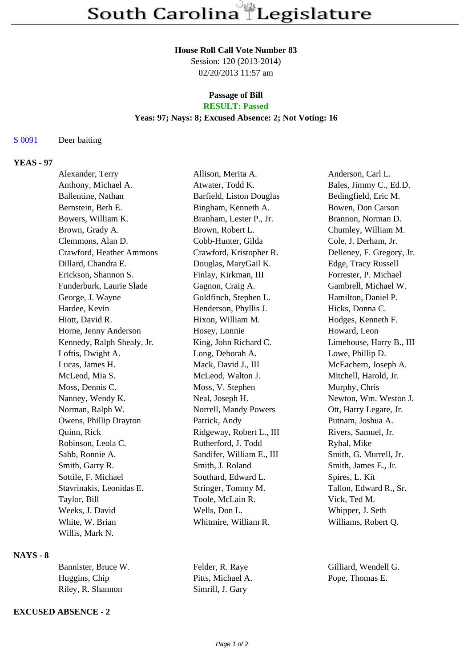#### **House Roll Call Vote Number 83**

Session: 120 (2013-2014) 02/20/2013 11:57 am

#### **Passage of Bill RESULT: Passed**

## **Yeas: 97; Nays: 8; Excused Absence: 2; Not Voting: 16**

## S 0091 Deer baiting

# **YEAS - 97**

| Alexander, Terry           | Allison, Merita A.        | Anderson, Carl L.         |
|----------------------------|---------------------------|---------------------------|
| Anthony, Michael A.        | Atwater, Todd K.          | Bales, Jimmy C., Ed.D.    |
| Ballentine, Nathan         | Barfield, Liston Douglas  | Bedingfield, Eric M.      |
| Bernstein, Beth E.         | Bingham, Kenneth A.       | Bowen, Don Carson         |
| Bowers, William K.         | Branham, Lester P., Jr.   | Brannon, Norman D.        |
| Brown, Grady A.            | Brown, Robert L.          | Chumley, William M.       |
| Clemmons, Alan D.          | Cobb-Hunter, Gilda        | Cole, J. Derham, Jr.      |
| Crawford, Heather Ammons   | Crawford, Kristopher R.   | Delleney, F. Gregory, Jr. |
| Dillard, Chandra E.        | Douglas, MaryGail K.      | Edge, Tracy Russell       |
| Erickson, Shannon S.       | Finlay, Kirkman, III      | Forrester, P. Michael     |
| Funderburk, Laurie Slade   | Gagnon, Craig A.          | Gambrell, Michael W.      |
| George, J. Wayne           | Goldfinch, Stephen L.     | Hamilton, Daniel P.       |
| Hardee, Kevin              | Henderson, Phyllis J.     | Hicks, Donna C.           |
| Hiott, David R.            | Hixon, William M.         | Hodges, Kenneth F.        |
| Horne, Jenny Anderson      | Hosey, Lonnie             | Howard, Leon              |
| Kennedy, Ralph Shealy, Jr. | King, John Richard C.     | Limehouse, Harry B., III  |
| Loftis, Dwight A.          | Long, Deborah A.          | Lowe, Phillip D.          |
| Lucas, James H.            | Mack, David J., III       | McEachern, Joseph A.      |
| McLeod, Mia S.             | McLeod, Walton J.         | Mitchell, Harold, Jr.     |
| Moss, Dennis C.            | Moss, V. Stephen          | Murphy, Chris             |
| Nanney, Wendy K.           | Neal, Joseph H.           | Newton, Wm. Weston J.     |
| Norman, Ralph W.           | Norrell, Mandy Powers     | Ott, Harry Legare, Jr.    |
| Owens, Phillip Drayton     | Patrick, Andy             | Putnam, Joshua A.         |
| Quinn, Rick                | Ridgeway, Robert L., III  | Rivers, Samuel, Jr.       |
| Robinson, Leola C.         | Rutherford, J. Todd       | Ryhal, Mike               |
| Sabb, Ronnie A.            | Sandifer, William E., III | Smith, G. Murrell, Jr.    |
| Smith, Garry R.            | Smith, J. Roland          | Smith, James E., Jr.      |
| Sottile, F. Michael        | Southard, Edward L.       | Spires, L. Kit            |
| Stavrinakis, Leonidas E.   | Stringer, Tommy M.        | Tallon, Edward R., Sr.    |
| Taylor, Bill               | Toole, McLain R.          | Vick, Ted M.              |
| Weeks, J. David            | Wells, Don L.             | Whipper, J. Seth          |
| White, W. Brian            | Whitmire, William R.      | Williams, Robert Q.       |
| Willis, Mark N.            |                           |                           |

# **NAYS - 8**

| Bannister, Bruce W. | Felder, R. Raye   | Gilliard, Wendell G. |
|---------------------|-------------------|----------------------|
| Huggins, Chip       | Pitts, Michael A. | Pope, Thomas E.      |
| Riley, R. Shannon   | Simrill, J. Gary  |                      |

#### **EXCUSED ABSENCE - 2**

Page 1 of 2